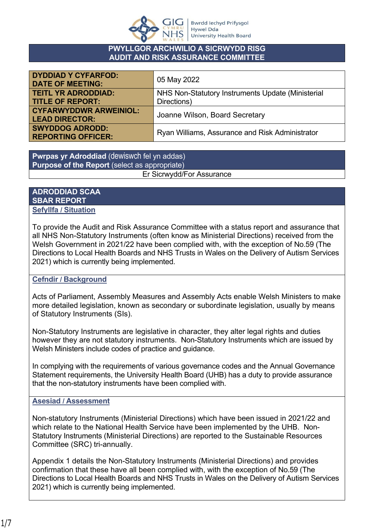

#### **PWYLLGOR ARCHWILIO A SICRWYDD RISG AUDIT AND RISK ASSURANCE COMMITTEE**

| <b>DYDDIAD Y CYFARFOD:</b><br><b>DATE OF MEETING:</b> | 05 May 2022                                       |  |  |
|-------------------------------------------------------|---------------------------------------------------|--|--|
| <b>TEITL YR ADRODDIAD:</b>                            | NHS Non-Statutory Instruments Update (Ministerial |  |  |
| <b>TITLE OF REPORT:</b>                               | Directions)                                       |  |  |
| <b>CYFARWYDDWR ARWEINIOL:</b>                         | Joanne Wilson, Board Secretary                    |  |  |
| <b>LEAD DIRECTOR:</b>                                 |                                                   |  |  |
| <b>SWYDDOG ADRODD:</b>                                | Ryan Williams, Assurance and Risk Administrator   |  |  |
| <b>REPORTING OFFICER:</b>                             |                                                   |  |  |

**Pwrpas yr Adroddiad** (dewiswch fel yn addas) **Purpose of the Report** (select as appropriate) Er Sicrwydd/For Assurance

#### **ADRODDIAD SCAA SBAR REPORT Sefyllfa / Situation**

To provide the Audit and Risk Assurance Committee with a status report and assurance that all NHS Non-Statutory Instruments (often know as Ministerial Directions) received from the Welsh Government in 2021/22 have been complied with, with the exception of No.59 (The Directions to Local Health Boards and NHS Trusts in Wales on the Delivery of Autism Services 2021) which is currently being implemented.

## **Cefndir / Background**

Acts of Parliament, Assembly Measures and Assembly Acts enable Welsh Ministers to make more detailed legislation, known as secondary or subordinate legislation, usually by means of Statutory Instruments (SIs).

Non-Statutory Instruments are legislative in character, they alter legal rights and duties however they are not statutory instruments. Non-Statutory Instruments which are issued by Welsh Ministers include codes of practice and guidance.

In complying with the requirements of various governance codes and the Annual Governance Statement requirements, the University Health Board (UHB) has a duty to provide assurance that the non-statutory instruments have been complied with.

## **Asesiad / Assessment**

Non-statutory Instruments (Ministerial Directions) which have been issued in 2021/22 and which relate to the National Health Service have been implemented by the UHB. Non-Statutory Instruments (Ministerial Directions) are reported to the Sustainable Resources Committee (SRC) tri-annually.

Appendix 1 details the Non-Statutory Instruments (Ministerial Directions) and provides confirmation that these have all been complied with, with the exception of No.59 (The Directions to Local Health Boards and NHS Trusts in Wales on the Delivery of Autism Services 2021) which is currently being implemented.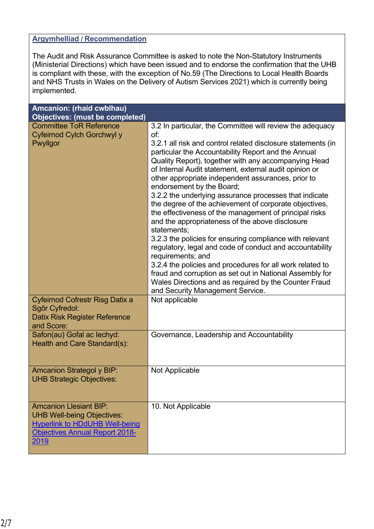### **Argymhelliad / Recommendation**

The Audit and Risk Assurance Committee is asked to note the Non-Statutory Instruments (Ministerial Directions) which have been issued and to endorse the confirmation that the UHB is compliant with these, with the exception of No.59 (The Directions to Local Health Boards and NHS Trusts in Wales on the Delivery of Autism Services 2021) which is currently being implemented.

| Amcanion: (rhaid cwblhau)<br><b>Objectives: (must be completed)</b>                                                                                   |                                                                                                                                                                                                                                                                                                                                                                                                                                                                                                                                                                                                                                                                                                                                                                                                                                                                                                                                                                                                                 |
|-------------------------------------------------------------------------------------------------------------------------------------------------------|-----------------------------------------------------------------------------------------------------------------------------------------------------------------------------------------------------------------------------------------------------------------------------------------------------------------------------------------------------------------------------------------------------------------------------------------------------------------------------------------------------------------------------------------------------------------------------------------------------------------------------------------------------------------------------------------------------------------------------------------------------------------------------------------------------------------------------------------------------------------------------------------------------------------------------------------------------------------------------------------------------------------|
| <b>Committee ToR Reference</b><br>Cyfeirnod Cylch Gorchwyl y<br>Pwyllgor                                                                              | 3.2 In particular, the Committee will review the adequacy<br>of:<br>3.2.1 all risk and control related disclosure statements (in<br>particular the Accountability Report and the Annual<br>Quality Report), together with any accompanying Head<br>of Internal Audit statement, external audit opinion or<br>other appropriate independent assurances, prior to<br>endorsement by the Board;<br>3.2.2 the underlying assurance processes that indicate<br>the degree of the achievement of corporate objectives,<br>the effectiveness of the management of principal risks<br>and the appropriateness of the above disclosure<br>statements;<br>3.2.3 the policies for ensuring compliance with relevant<br>regulatory, legal and code of conduct and accountability<br>requirements; and<br>3.2.4 the policies and procedures for all work related to<br>fraud and corruption as set out in National Assembly for<br>Wales Directions and as required by the Counter Fraud<br>and Security Management Service. |
| <b>Cyfeirnod Cofrestr Risg Datix a</b><br>Sgôr Cyfredol:<br>Datix Risk Register Reference<br>and Score:                                               | Not applicable                                                                                                                                                                                                                                                                                                                                                                                                                                                                                                                                                                                                                                                                                                                                                                                                                                                                                                                                                                                                  |
| Safon(au) Gofal ac lechyd:<br>Health and Care Standard(s):                                                                                            | Governance, Leadership and Accountability                                                                                                                                                                                                                                                                                                                                                                                                                                                                                                                                                                                                                                                                                                                                                                                                                                                                                                                                                                       |
| <b>Amcanion Strategol y BIP:</b><br><b>UHB Strategic Objectives:</b>                                                                                  | Not Applicable                                                                                                                                                                                                                                                                                                                                                                                                                                                                                                                                                                                                                                                                                                                                                                                                                                                                                                                                                                                                  |
| <b>Amcanion Llesiant BIP:</b><br><b>UHB Well-being Objectives:</b><br><b>Hyperlink to HDdUHB Well-being</b><br>Objectives Annual Report 2018-<br>2019 | 10. Not Applicable                                                                                                                                                                                                                                                                                                                                                                                                                                                                                                                                                                                                                                                                                                                                                                                                                                                                                                                                                                                              |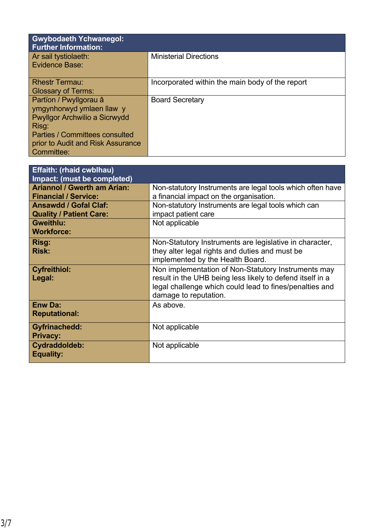| <b>Gwybodaeth Ychwanegol:</b><br><b>Further Information:</b>                                                                                                                              |                                                 |
|-------------------------------------------------------------------------------------------------------------------------------------------------------------------------------------------|-------------------------------------------------|
| Ar sail tystiolaeth:<br>Evidence Base:                                                                                                                                                    | <b>Ministerial Directions</b>                   |
| <b>Rhestr Termau:</b><br><b>Glossary of Terms:</b>                                                                                                                                        | Incorporated within the main body of the report |
| Partïon / Pwyllgorau â<br>ymgynhorwyd ymlaen llaw y<br>Pwyllgor Archwilio a Sicrwydd<br>Risg:<br><b>Parties / Committees consulted</b><br>prior to Audit and Risk Assurance<br>Committee: | <b>Board Secretary</b>                          |

| <b>Effaith: (rhaid cwblhau)</b><br>Impact: (must be completed)    |                                                                                                                                                                                                      |
|-------------------------------------------------------------------|------------------------------------------------------------------------------------------------------------------------------------------------------------------------------------------------------|
| <b>Ariannol / Gwerth am Arian:</b><br><b>Financial / Service:</b> | Non-statutory Instruments are legal tools which often have<br>a financial impact on the organisation.                                                                                                |
| <b>Ansawdd / Gofal Claf:</b><br><b>Quality / Patient Care:</b>    | Non-statutory Instruments are legal tools which can<br>impact patient care                                                                                                                           |
| <b>Gweithlu:</b><br><b>Workforce:</b>                             | Not applicable                                                                                                                                                                                       |
| Risg:<br><b>Risk:</b>                                             | Non-Statutory Instruments are legislative in character,<br>they alter legal rights and duties and must be<br>implemented by the Health Board.                                                        |
| <b>Cyfreithiol:</b><br>Legal:                                     | Non implementation of Non-Statutory Instruments may<br>result in the UHB being less likely to defend itself in a<br>legal challenge which could lead to fines/penalties and<br>damage to reputation. |
| <b>Enw Da:</b><br><b>Reputational:</b>                            | As above.                                                                                                                                                                                            |
| <b>Gyfrinachedd:</b><br><b>Privacy:</b>                           | Not applicable                                                                                                                                                                                       |
| Cydraddoldeb:<br><b>Equality:</b>                                 | Not applicable                                                                                                                                                                                       |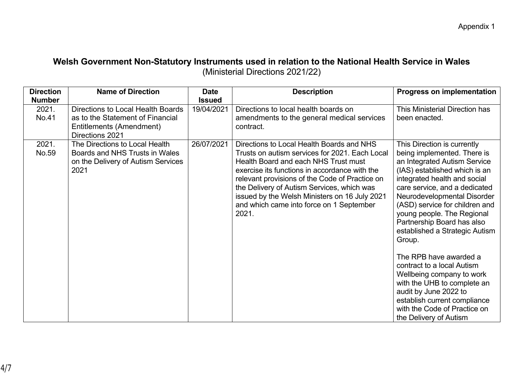# **Welsh Government Non-Statutory Instruments used in relation to the National Health Service in Wales** (Ministerial Directions 2021/22)

| <b>Direction</b><br><b>Number</b> | <b>Name of Direction</b>                                                                                             | <b>Date</b><br><b>Issued</b> | <b>Description</b>                                                                                                                                                                                                                                                                                                                                                                         | <b>Progress on implementation</b>                                                                                                                                                                                                                                                                                                                                                                                                                                                                                                                                                                            |
|-----------------------------------|----------------------------------------------------------------------------------------------------------------------|------------------------------|--------------------------------------------------------------------------------------------------------------------------------------------------------------------------------------------------------------------------------------------------------------------------------------------------------------------------------------------------------------------------------------------|--------------------------------------------------------------------------------------------------------------------------------------------------------------------------------------------------------------------------------------------------------------------------------------------------------------------------------------------------------------------------------------------------------------------------------------------------------------------------------------------------------------------------------------------------------------------------------------------------------------|
| 2021.<br>No.41                    | Directions to Local Health Boards<br>as to the Statement of Financial<br>Entitlements (Amendment)<br>Directions 2021 | 19/04/2021                   | Directions to local health boards on<br>amendments to the general medical services<br>contract.                                                                                                                                                                                                                                                                                            | This Ministerial Direction has<br>been enacted.                                                                                                                                                                                                                                                                                                                                                                                                                                                                                                                                                              |
| 2021.<br>No.59                    | The Directions to Local Health<br>Boards and NHS Trusts in Wales<br>on the Delivery of Autism Services<br>2021       | 26/07/2021                   | Directions to Local Health Boards and NHS<br>Trusts on autism services for 2021. Each Local<br>Health Board and each NHS Trust must<br>exercise its functions in accordance with the<br>relevant provisions of the Code of Practice on<br>the Delivery of Autism Services, which was<br>issued by the Welsh Ministers on 16 July 2021<br>and which came into force on 1 September<br>2021. | This Direction is currently<br>being implemented. There is<br>an Integrated Autism Service<br>(IAS) established which is an<br>integrated health and social<br>care service, and a dedicated<br>Neurodevelopmental Disorder<br>(ASD) service for children and<br>young people. The Regional<br>Partnership Board has also<br>established a Strategic Autism<br>Group.<br>The RPB have awarded a<br>contract to a local Autism<br>Wellbeing company to work<br>with the UHB to complete an<br>audit by June 2022 to<br>establish current compliance<br>with the Code of Practice on<br>the Delivery of Autism |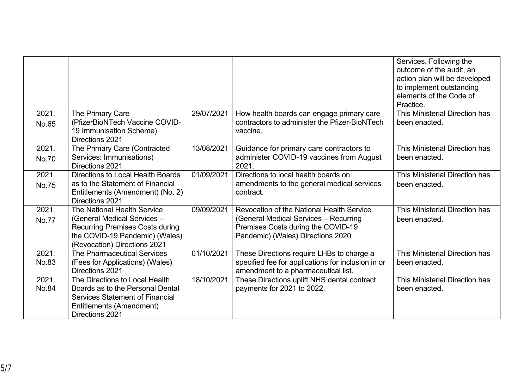|                       |                                                                                                                                                                        |            |                                                                                                                                                               | Services. Following the<br>outcome of the audit, an<br>action plan will be developed<br>to implement outstanding<br>elements of the Code of |
|-----------------------|------------------------------------------------------------------------------------------------------------------------------------------------------------------------|------------|---------------------------------------------------------------------------------------------------------------------------------------------------------------|---------------------------------------------------------------------------------------------------------------------------------------------|
|                       |                                                                                                                                                                        |            |                                                                                                                                                               | Practice.                                                                                                                                   |
| 2021.<br>No.65        | The Primary Care<br>(PfizerBioNTech Vaccine COVID-<br>19 Immunisation Scheme)<br>Directions 2021                                                                       | 29/07/2021 | How health boards can engage primary care<br>contractors to administer the Pfizer-BioNTech<br>vaccine.                                                        | This Ministerial Direction has<br>been enacted.                                                                                             |
| 2021.<br>No.70        | The Primary Care (Contracted<br>Services: Immunisations)<br>Directions 2021                                                                                            | 13/08/2021 | Guidance for primary care contractors to<br>administer COVID-19 vaccines from August<br>2021.                                                                 | This Ministerial Direction has<br>been enacted.                                                                                             |
| 2021.<br><b>No.75</b> | <b>Directions to Local Health Boards</b><br>as to the Statement of Financial<br>Entitlements (Amendment) (No. 2)<br>Directions 2021                                    | 01/09/2021 | Directions to local health boards on<br>amendments to the general medical services<br>contract.                                                               | This Ministerial Direction has<br>been enacted.                                                                                             |
| 2021.<br>No.77        | The National Health Service<br>(General Medical Services -<br><b>Recurring Premises Costs during</b><br>the COVID-19 Pandemic) (Wales)<br>(Revocation) Directions 2021 | 09/09/2021 | Revocation of the National Health Service<br>(General Medical Services - Recurring<br>Premises Costs during the COVID-19<br>Pandemic) (Wales) Directions 2020 | This Ministerial Direction has<br>been enacted.                                                                                             |
| 2021.<br>No.83        | The Pharmaceutical Services<br>(Fees for Applications) (Wales)<br>Directions 2021                                                                                      | 01/10/2021 | These Directions require LHBs to charge a<br>specified fee for applications for inclusion in or<br>amendment to a pharmaceutical list.                        | This Ministerial Direction has<br>been enacted.                                                                                             |
| 2021.<br>No.84        | The Directions to Local Health<br>Boards as to the Personal Dental<br><b>Services Statement of Financial</b><br>Entitlements (Amendment)<br>Directions 2021            | 18/10/2021 | These Directions uplift NHS dental contract<br>payments for 2021 to 2022.                                                                                     | This Ministerial Direction has<br>been enacted.                                                                                             |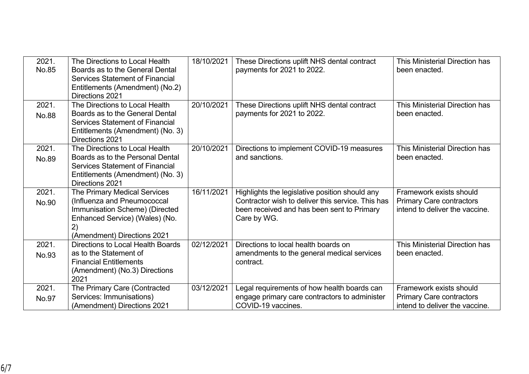| 2021.<br>No.85        | The Directions to Local Health<br>Boards as to the General Dental<br><b>Services Statement of Financial</b><br>Entitlements (Amendment) (No.2)<br>Directions 2021    | 18/10/2021 | These Directions uplift NHS dental contract<br>payments for 2021 to 2022.                                                                                        | This Ministerial Direction has<br>been enacted.                                              |
|-----------------------|----------------------------------------------------------------------------------------------------------------------------------------------------------------------|------------|------------------------------------------------------------------------------------------------------------------------------------------------------------------|----------------------------------------------------------------------------------------------|
| 2021.<br><b>No.88</b> | The Directions to Local Health<br>Boards as to the General Dental<br><b>Services Statement of Financial</b><br>Entitlements (Amendment) (No. 3)<br>Directions 2021   | 20/10/2021 | These Directions uplift NHS dental contract<br>payments for 2021 to 2022.                                                                                        | This Ministerial Direction has<br>been enacted.                                              |
| 2021.<br>No.89        | The Directions to Local Health<br>Boards as to the Personal Dental<br><b>Services Statement of Financial</b><br>Entitlements (Amendment) (No. 3)<br>Directions 2021  | 20/10/2021 | Directions to implement COVID-19 measures<br>and sanctions.                                                                                                      | This Ministerial Direction has<br>been enacted.                                              |
| 2021.<br>No.90        | The Primary Medical Services<br>(Influenza and Pneumococcal<br>Immunisation Scheme) (Directed<br>Enhanced Service) (Wales) (No.<br>2)<br>(Amendment) Directions 2021 | 16/11/2021 | Highlights the legislative position should any<br>Contractor wish to deliver this service. This has<br>been received and has been sent to Primary<br>Care by WG. | Framework exists should<br><b>Primary Care contractors</b><br>intend to deliver the vaccine. |
| 2021.<br>No.93        | <b>Directions to Local Health Boards</b><br>as to the Statement of<br><b>Financial Entitlements</b><br>(Amendment) (No.3) Directions<br>2021                         | 02/12/2021 | Directions to local health boards on<br>amendments to the general medical services<br>contract.                                                                  | This Ministerial Direction has<br>been enacted.                                              |
| 2021.<br>No.97        | The Primary Care (Contracted<br>Services: Immunisations)<br>(Amendment) Directions 2021                                                                              | 03/12/2021 | Legal requirements of how health boards can<br>engage primary care contractors to administer<br>COVID-19 vaccines.                                               | Framework exists should<br><b>Primary Care contractors</b><br>intend to deliver the vaccine. |